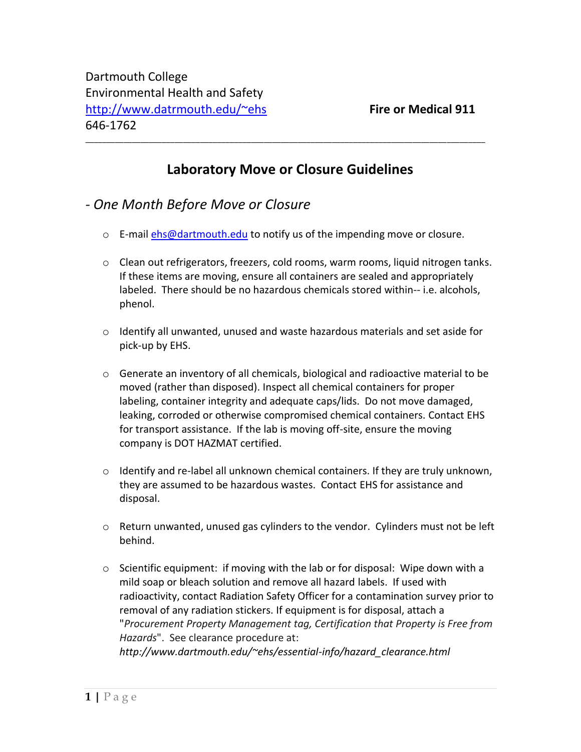## **Laboratory Move or Closure Guidelines**

\_\_\_\_\_\_\_\_\_\_\_\_\_\_\_\_\_\_\_\_\_\_\_\_\_\_\_\_\_\_\_\_\_\_\_\_\_\_\_\_\_\_\_\_\_\_\_\_\_\_\_\_\_\_\_\_\_\_\_\_\_\_\_\_\_\_\_\_\_\_\_\_\_\_\_\_\_\_\_\_\_\_\_\_\_\_\_\_\_\_\_\_\_\_

- *- One Month Before Move or Closure*
	- o E-mail [ehs@dartmouth.edu](mailto:ehs@dartmouth.edu) to notify us of the impending move or closure.
	- $\circ$  Clean out refrigerators, freezers, cold rooms, warm rooms, liquid nitrogen tanks. If these items are moving, ensure all containers are sealed and appropriately labeled. There should be no hazardous chemicals stored within-- i.e. alcohols, phenol.
	- $\circ$  Identify all unwanted, unused and waste hazardous materials and set aside for pick-up by EHS.
	- $\circ$  Generate an inventory of all chemicals, biological and radioactive material to be moved (rather than disposed). Inspect all chemical containers for proper labeling, container integrity and adequate caps/lids. Do not move damaged, leaking, corroded or otherwise compromised chemical containers. Contact EHS for transport assistance. If the lab is moving off-site, ensure the moving company is DOT HAZMAT certified.
	- $\circ$  Identify and re-label all unknown chemical containers. If they are truly unknown, they are assumed to be hazardous wastes. Contact EHS for assistance and disposal.
	- $\circ$  Return unwanted, unused gas cylinders to the vendor. Cylinders must not be left behind.
	- $\circ$  Scientific equipment: if moving with the lab or for disposal: Wipe down with a mild soap or bleach solution and remove all hazard labels. If used with radioactivity, contact Radiation Safety Officer for a contamination survey prior to removal of any radiation stickers. If equipment is for disposal, attach a "*Procurement Property Management tag, Certification that Property is Free from Hazards*". See clearance procedure at: *http://www.dartmouth.edu/~ehs/essential-info/hazard\_clearance.html*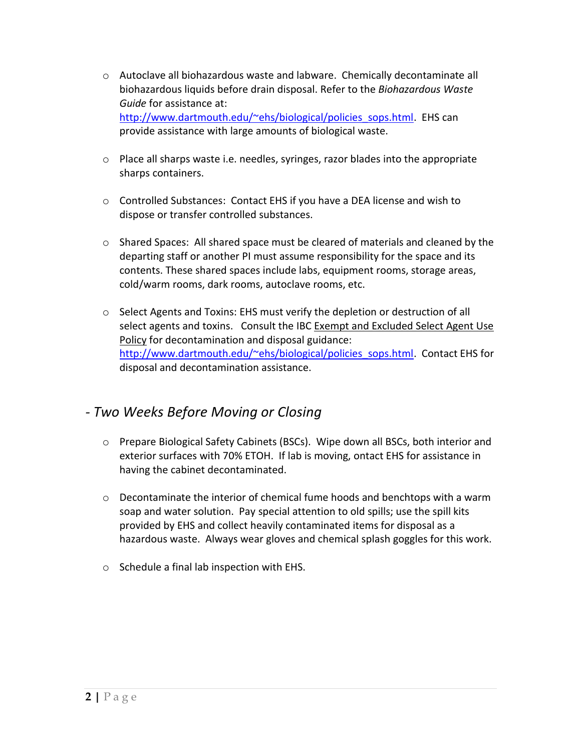- o Autoclave all biohazardous waste and labware. Chemically decontaminate all biohazardous liquids before drain disposal. Refer to the *Biohazardous Waste Guide* for assistance at: [http://www.dartmouth.edu/~ehs/biological/policies\\_sops.html.](http://www.dartmouth.edu/~ehs/biological/policies_sops.html) EHS can provide assistance with large amounts of biological waste.
- $\circ$  Place all sharps waste i.e. needles, syringes, razor blades into the appropriate sharps containers.
- $\circ$  Controlled Substances: Contact EHS if you have a DEA license and wish to dispose or transfer controlled substances.
- $\circ$  Shared Spaces: All shared space must be cleared of materials and cleaned by the departing staff or another PI must assume responsibility for the space and its contents. These shared spaces include labs, equipment rooms, storage areas, cold/warm rooms, dark rooms, autoclave rooms, etc.
- $\circ$  Select Agents and Toxins: EHS must verify the depletion or destruction of all select agents and toxins. Consult the IBC Exempt and Excluded Select Agent Use Policy for decontamination and disposal guidance: [http://www.dartmouth.edu/~ehs/biological/policies\\_sops.html.](http://www.dartmouth.edu/~ehs/biological/policies_sops.html) Contact EHS for disposal and decontamination assistance.

## *- Two Weeks Before Moving or Closing*

- o Prepare Biological Safety Cabinets (BSCs). Wipe down all BSCs, both interior and exterior surfaces with 70% ETOH. If lab is moving, ontact EHS for assistance in having the cabinet decontaminated.
- $\circ$  Decontaminate the interior of chemical fume hoods and benchtops with a warm soap and water solution. Pay special attention to old spills; use the spill kits provided by EHS and collect heavily contaminated items for disposal as a hazardous waste. Always wear gloves and chemical splash goggles for this work.
- o Schedule a final lab inspection with EHS.